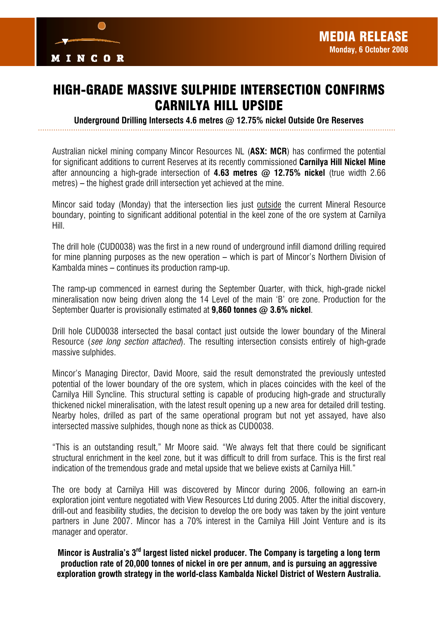

## HIGH-GRADE MASSIVE SULPHIDE INTERSECTION CONFIRMS CARNILYA HILL UPSIDE

*Underground Drilling Intersects 4.6 metres @ 12.75% nickel Outside Ore Reserves* 

Australian nickel mining company Mincor Resources NL (*ASX: MCR*) has confirmed the potential for significant additions to current Reserves at its recently commissioned *Carnilya Hill Nickel Mine* after announcing a high-grade intersection of *4.63 metres @ 12.75% nickel* (true width 2.66 metres) – the highest grade drill intersection yet achieved at the mine.

Mincor said today (Monday) that the intersection lies just outside the current Mineral Resource boundary, pointing to significant additional potential in the keel zone of the ore system at Carnilya Hill.

The drill hole (CUD0038) was the first in a new round of underground infill diamond drilling required for mine planning purposes as the new operation – which is part of Mincor's Northern Division of Kambalda mines – continues its production ramp-up.

The ramp-up commenced in earnest during the September Quarter, with thick, high-grade nickel mineralisation now being driven along the 14 Level of the main 'B' ore zone. Production for the September Quarter is provisionally estimated at *9,860 tonnes @ 3.6% nickel*.

Drill hole CUD0038 intersected the basal contact just outside the lower boundary of the Mineral Resource (*see long section attached*). The resulting intersection consists entirely of high-grade massive sulphides.

Mincor's Managing Director, David Moore, said the result demonstrated the previously untested potential of the lower boundary of the ore system, which in places coincides with the keel of the Carnilya Hill Syncline. This structural setting is capable of producing high-grade and structurally thickened nickel mineralisation, with the latest result opening up a new area for detailed drill testing. Nearby holes, drilled as part of the same operational program but not yet assayed, have also intersected massive sulphides, though none as thick as CUD0038.

"This is an outstanding result," Mr Moore said. "We always felt that there could be significant structural enrichment in the keel zone, but it was difficult to drill from surface. This is the first real indication of the tremendous grade and metal upside that we believe exists at Carnilya Hill."

The ore body at Carnilya Hill was discovered by Mincor during 2006, following an earn-in exploration joint venture negotiated with View Resources Ltd during 2005. After the initial discovery, drill-out and feasibility studies, the decision to develop the ore body was taken by the joint venture partners in June 2007. Mincor has a 70% interest in the Carnilya Hill Joint Venture and is its manager and operator.

*Mincor is Australia's 3rd largest listed nickel producer. The Company is targeting a long term production rate of 20,000 tonnes of nickel in ore per annum, and is pursuing an aggressive exploration growth strategy in the world-class Kambalda Nickel District of Western Australia.*